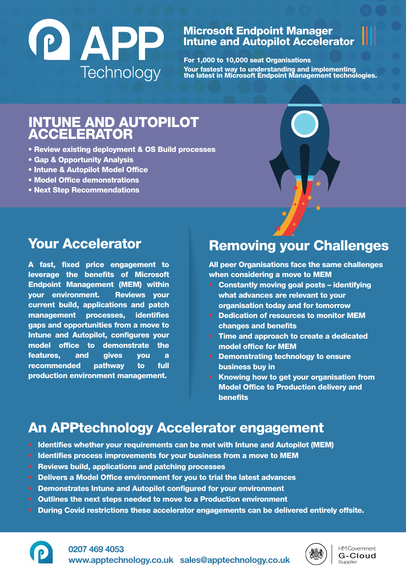

### Microsoft Endpoint Manager Intune and Autopilot Accelerator

For 1,000 to 10,000 seat Organisations Your fastest way to understanding and implementing the latest in Microsoft Endpoint Management technologies.

## INTUNE AND AUTOPILOT **ACCELERATOR**

- Review existing deployment & OS Build processes
- Gap & Opportunity Analysis
- Intune & Autopilot Model Office
- Model Office demonstrations
- Next Step Recommendations

## Your Accelerator

A fast, fixed price engagement to leverage the benefits of Microsoft Endpoint Management (MEM) within your environment. Reviews your current build, applications and patch management processes, identifies gaps and opportunities from a move to Intune and Autopilot, configures your model office to demonstrate the features, and gives you a recommended pathway to full production environment management.

# Removing your Challenges

All peer Organisations face the same challenges when considering a move to MEM

- Constantly moving goal posts identifying what advances are relevant to your organisation today and for tomorrow
- Dedication of resources to monitor MEM changes and benefits
- Time and approach to create a dedicated model office for MEM
- Demonstrating technology to ensure business buy in
- Knowing how to get your organisation from Model Office to Production delivery and benefits

## An APPtechnology Accelerator engagement

- Identifies whether your requirements can be met with Intune and Autopilot (MEM)
- Identifies process improvements for your business from a move to MEM
- Reviews build, applications and patching processes
- Delivers a Model Office environment for you to trial the latest advances
- Demonstrates Intune and Autopilot configured for your environment
- Outlines the next steps needed to move to a Production environment
- During Covid restrictions these accelerator engagements can be delivered entirely offsite.



0207 469 4053 www.apptechnology.co.uk sales@apptechnology.co.uk